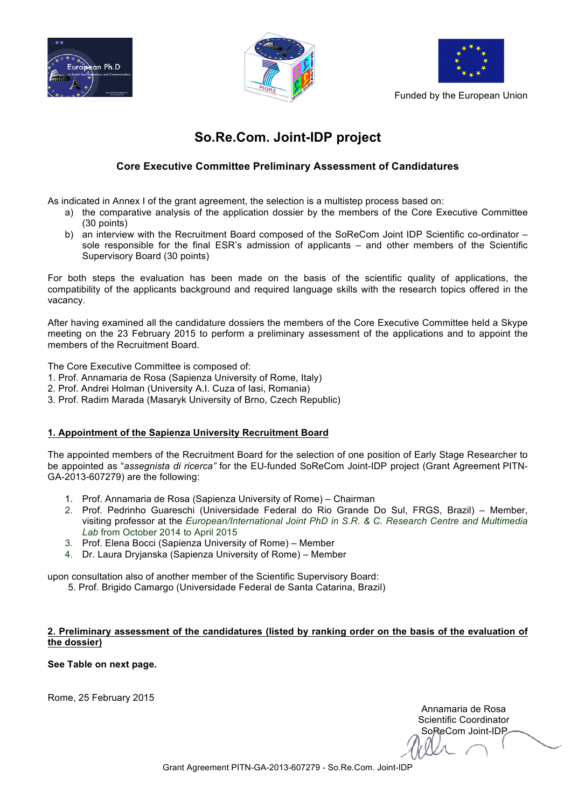





Funded by the European Union

# **So.Re.Com. Joint-IDP project**

### **Core Executive Committee Preliminary Assessment of Candidatures**

As indicated in Annex I of the grant agreement, the selection is a multistep process based on:

- a) the comparative analysis of the application dossier by the members of the Core Executive Committee (30 points)
- b) an interview with the Recruitment Board composed of the SoReCom Joint IDP Scientific co-ordinator sole responsible for the final ESR's admission of applicants – and other members of the Scientific Supervisory Board (30 points)

For both steps the evaluation has been made on the basis of the scientific quality of applications, the compatibility of the applicants background and required language skills with the research topics offered in the vacancy.

After having examined all the candidature dossiers the members of the Core Executive Committee held a Skype meeting on the 23 February 2015 to perform a preliminary assessment of the applications and to appoint the members of the Recruitment Board.

The Core Executive Committee is composed of:

- 1. Prof. Annamaria de Rosa (Sapienza University of Rome, Italy)
- 2. Prof. Andrei Holman (University A.I. Cuza of Iasi, Romania)
- 3. Prof. Radim Marada (Masaryk University of Brno, Czech Republic)

#### **1. Appointment of the Sapienza University Recruitment Board**

The appointed members of the Recruitment Board for the selection of one position of Early Stage Researcher to be appointed as "*assegnista di ricerca"* for the EU-funded SoReCom Joint-IDP project (Grant Agreement PITN-GA-2013-607279) are the following:

- 1. Prof. Annamaria de Rosa (Sapienza University of Rome) Chairman
- 2. Prof. Pedrinho Guareschi (Universidade Federal do Rio Grande Do Sul, FRGS, Brazil) Member, visiting professor at the *European/International Joint PhD in S.R. & C. Research Centre and Multimedia Lab* from October 2014 to April 2015
- 3. Prof. Elena Bocci (Sapienza University of Rome) Member
- 4. Dr. Laura Dryjanska (Sapienza University of Rome) Member

upon consultation also of another member of the Scientific Supervisory Board:

5. Prof. Brigido Camargo (Universidade Federal de Santa Catarina, Brazil)

#### **2. Preliminary assessment of the candidatures (listed by ranking order on the basis of the evaluation of the dossier)**

**See Table on next page.** 

Rome, 25 February 2015

Annamaria de Rosa Scientific Coordinator SoReCom Joint-IDP